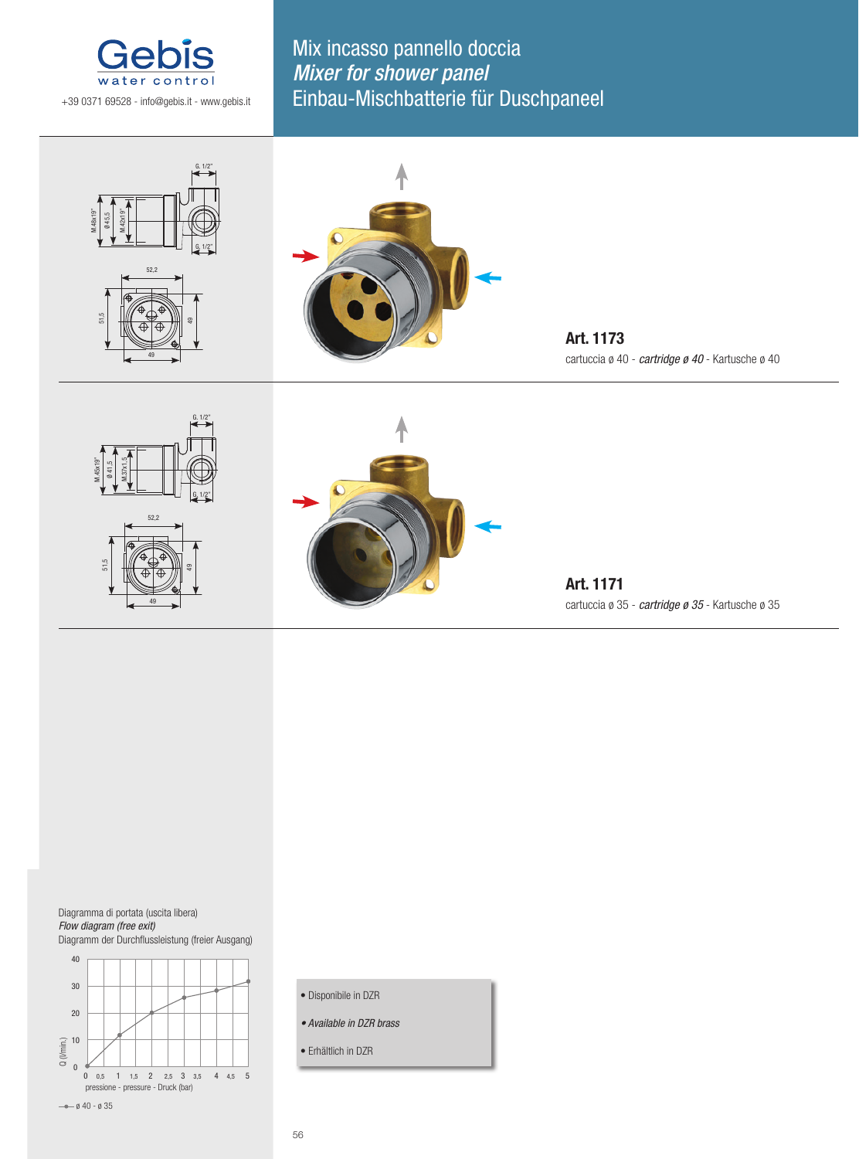

Mix incasso pannello doccia Mixer for shower panel Einbau-Mischbatterie für Duschpaneel





**Art. 1173** cartuccia ø 40 - *cartridge ø 40* - Kartusche ø 40





**Art. 1171** cartuccia ø 35 - *cartridge ø 35* - Kartusche ø 35

Diagramma di portata (uscita libera) *Flow diagram (free exit)* Diagramm der Durchflussleistung (freier Ausgang)



- Disponibile in DZR
- *Available in DZR brass*
- Erhältlich in DZR

56